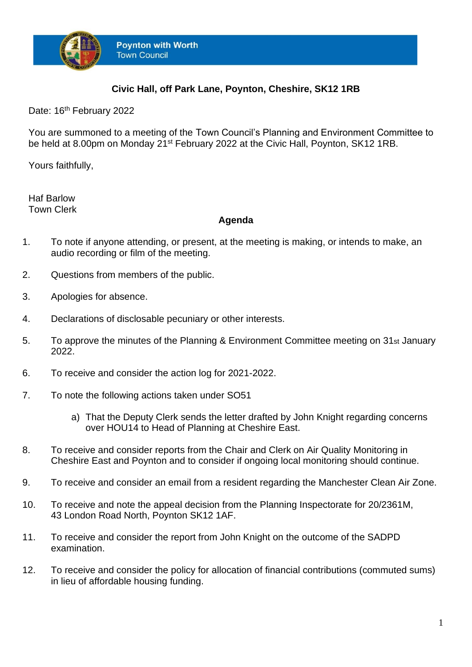

## **Civic Hall, off Park Lane, Poynton, Cheshire, SK12 1RB**

Date: 16<sup>th</sup> February 2022

You are summoned to a meeting of the Town Council's Planning and Environment Committee to be held at 8.00pm on Monday 21<sup>st</sup> February 2022 at the Civic Hall, Poynton, SK12 1RB.

Yours faithfully,

Haf Barlow Town Clerk

## **Agenda**

- 1. To note if anyone attending, or present, at the meeting is making, or intends to make, an audio recording or film of the meeting.
- 2. Questions from members of the public.
- 3. Apologies for absence.
- 4. Declarations of disclosable pecuniary or other interests.
- 5. To approve the minutes of the Planning & Environment Committee meeting on 31st January 2022.
- 6. To receive and consider the action log for 2021-2022.
- 7. To note the following actions taken under SO51
	- a) That the Deputy Clerk sends the letter drafted by John Knight regarding concerns over HOU14 to Head of Planning at Cheshire East.
- 8. To receive and consider reports from the Chair and Clerk on Air Quality Monitoring in Cheshire East and Poynton and to consider if ongoing local monitoring should continue.
- 9. To receive and consider an email from a resident regarding the Manchester Clean Air Zone.
- 10. To receive and note the appeal decision from the Planning Inspectorate for 20/2361M, 43 London Road North, Poynton SK12 1AF.
- 11. To receive and consider the report from John Knight on the outcome of the SADPD examination.
- 12. To receive and consider the policy for allocation of financial contributions (commuted sums) in lieu of affordable housing funding.